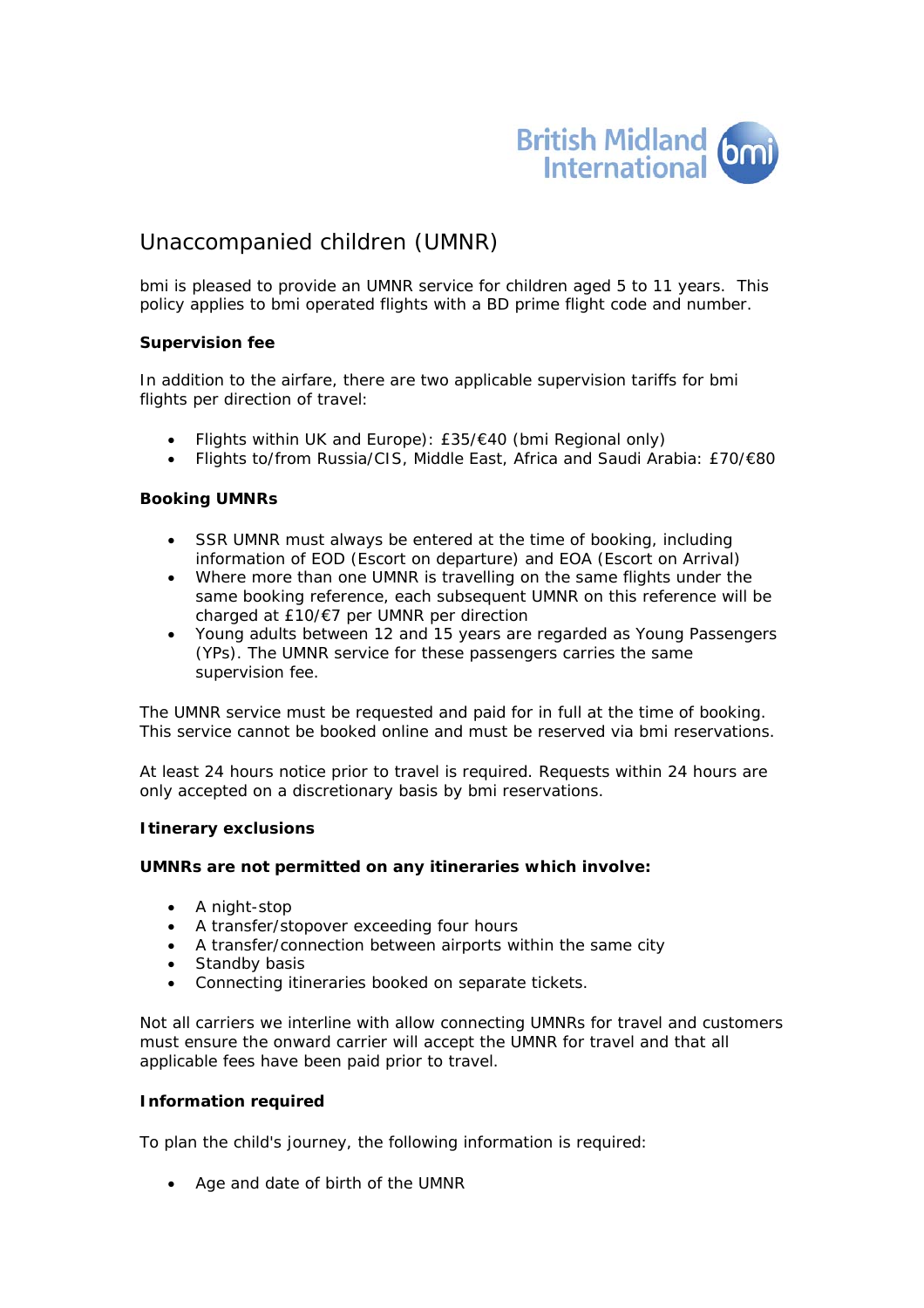

# Unaccompanied children (UMNR)

bmi is pleased to provide an UMNR service for children aged 5 to 11 years. This policy applies to bmi operated flights with a BD prime flight code and number.

# **Supervision fee**

In addition to the airfare, there are two applicable supervision tariffs for bmi flights per direction of travel:

- Flights within UK and Europe): £35/€40 (bmi Regional only)
- Flights to/from Russia/CIS, Middle East, Africa and Saudi Arabia: £70/€80

### **Booking UMNRs**

- SSR UMNR must always be entered at the time of booking, including information of EOD (Escort on departure) and EOA (Escort on Arrival)
- Where more than one UMNR is travelling on the same flights under the same booking reference, each subsequent UMNR on this reference will be charged at £10/€7 per UMNR per direction
- Young adults between 12 and 15 years are regarded as Young Passengers (YPs). The UMNR service for these passengers carries the same supervision fee.

The UMNR service must be requested and paid for in full at the time of booking. This service cannot be booked online and must be reserved via bmi reservations.

At least 24 hours notice prior to travel is required. Requests within 24 hours are only accepted on a discretionary basis by bmi reservations.

### **Itinerary exclusions**

### **UMNRs are not permitted on any itineraries which involve:**

- A night-stop
- A transfer/stopover exceeding four hours
- A transfer/connection between airports within the same city
- Standby basis
- Connecting itineraries booked on separate tickets.

Not all carriers we interline with allow connecting UMNRs for travel and customers must ensure the onward carrier will accept the UMNR for travel and that all applicable fees have been paid prior to travel.

### **Information required**

To plan the child's journey, the following information is required:

• Age and date of birth of the UMNR